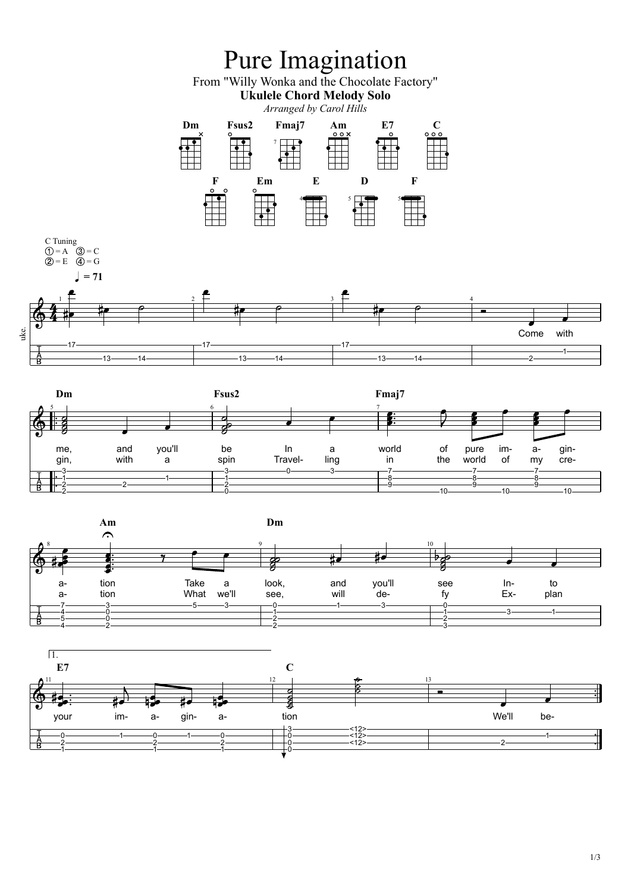





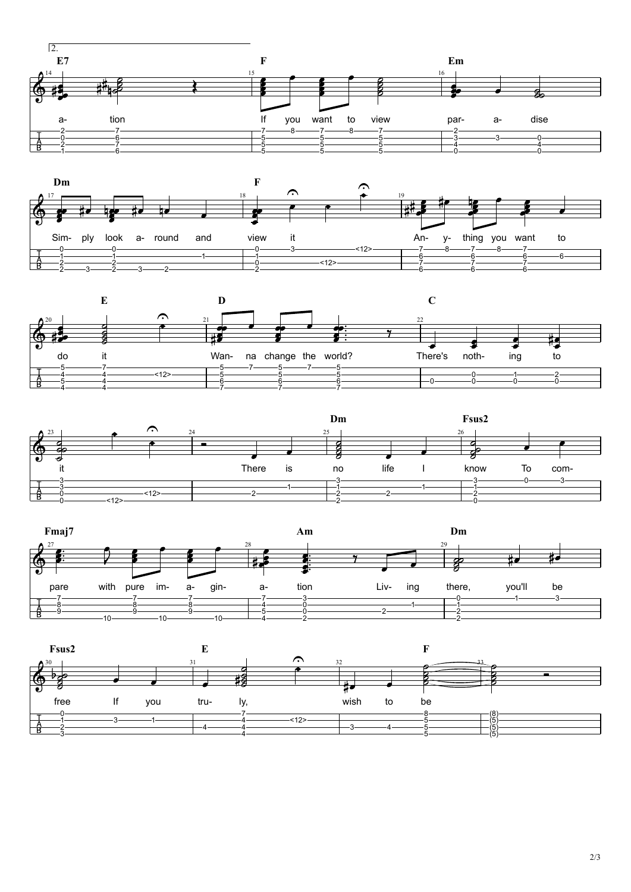